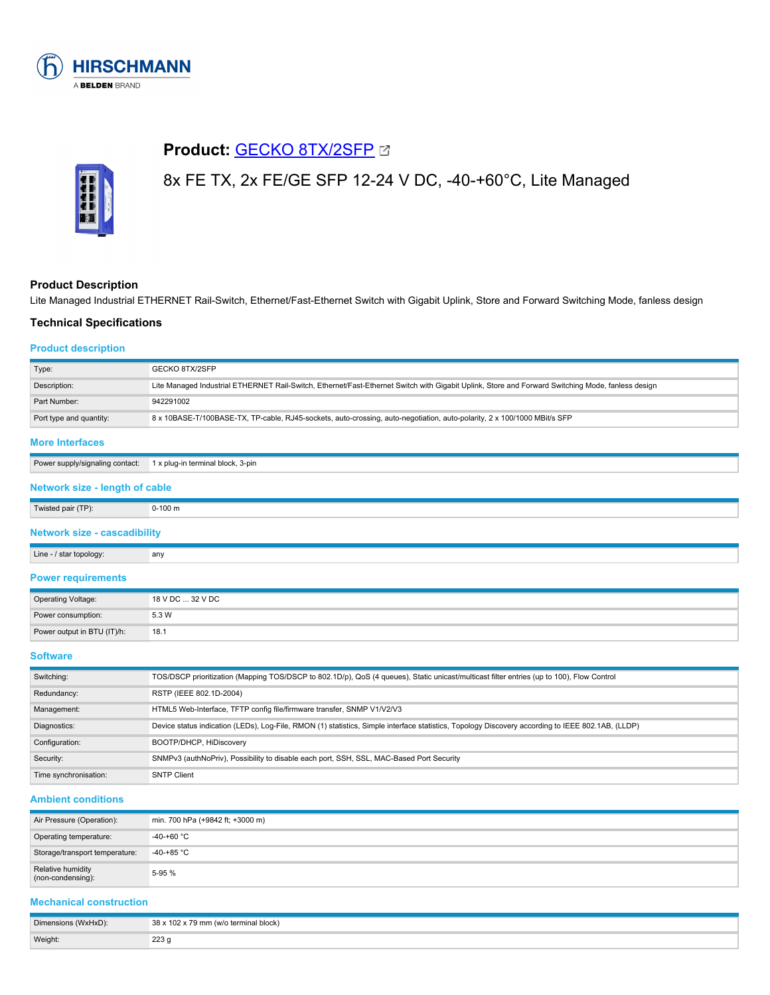

# **Product: [GECKO 8TX/2SFP](https://catalog.belden.com/index.cfm?event=pd&p=PF_942291002&tab=downloads) &**



# 8x FE TX, 2x FE/GE SFP 12-24 V DC, -40-+60°C, Lite Managed

# **Product Description**

Lite Managed Industrial ETHERNET Rail-Switch, Ethernet/Fast-Ethernet Switch with Gigabit Uplink, Store and Forward Switching Mode, fanless design

# **Technical Specifications**

# **Product description**

| Type:                                                                     | GECKO 8TX/2SFP                                                                                                                                    |  |
|---------------------------------------------------------------------------|---------------------------------------------------------------------------------------------------------------------------------------------------|--|
| Description:                                                              | Lite Managed Industrial ETHERNET Rail-Switch, Ethernet/Fast-Ethernet Switch with Gigabit Uplink, Store and Forward Switching Mode, fanless design |  |
| Part Number:                                                              | 942291002                                                                                                                                         |  |
| Port type and quantity:                                                   | 8 x 10BASE-T/100BASE-TX, TP-cable, RJ45-sockets, auto-crossing, auto-negotiation, auto-polarity, 2 x 100/1000 MBit/s SFP                          |  |
| <b>More Interfaces</b>                                                    |                                                                                                                                                   |  |
| Power supply/signaling contact:                                           | 1 x plug-in terminal block, 3-pin                                                                                                                 |  |
| Network size - length of cable                                            |                                                                                                                                                   |  |
| Twisted pair (TP):                                                        | $0-100$ m                                                                                                                                         |  |
| <b>Network size - cascadibility</b>                                       |                                                                                                                                                   |  |
| Line - / star topology:                                                   | any                                                                                                                                               |  |
| <b>Power requirements</b><br>the control of the control of the control of |                                                                                                                                                   |  |

| <b>Operating Voltage:</b>   | 18 V DC  32 V DC |
|-----------------------------|------------------|
| Power consumption:          | 5.3 W            |
| Power output in BTU (IT)/h: | 18.1             |

# **Software**

| Switching:            | TOS/DSCP prioritization (Mapping TOS/DSCP to 802.1D/p), QoS (4 queues), Static unicast/multicast filter entries (up to 100), Flow Control         |
|-----------------------|---------------------------------------------------------------------------------------------------------------------------------------------------|
| Redundancy:           | RSTP (IEEE 802.1D-2004)                                                                                                                           |
| Management:           | HTML5 Web-Interface, TFTP config file/firmware transfer, SNMP V1/V2/V3                                                                            |
| Diagnostics:          | Device status indication (LEDs), Log-File, RMON (1) statistics, Simple interface statistics, Topology Discovery according to IEEE 802.1AB, (LLDP) |
| Configuration:        | BOOTP/DHCP, HiDiscovery                                                                                                                           |
| Security:             | SNMPv3 (authNoPriv), Possibility to disable each port, SSH, SSL, MAC-Based Port Security                                                          |
| Time synchronisation: | <b>SNTP Client</b>                                                                                                                                |

# **Ambient conditions**

| Air Pressure (Operation):              | min. 700 hPa (+9842 ft; +3000 m) |
|----------------------------------------|----------------------------------|
| Operating temperature:                 | -40-+60 °C                       |
| Storage/transport temperature:         | $-40-+85$ °C                     |
| Relative humidity<br>(non-condensing): | 5-95 %                           |

# **Mechanical construction**

| Dimensions (WxHxD): | 38 x 102 x 79 mm (w/o terminal block) |
|---------------------|---------------------------------------|
| Weight:             | ววว<br>دعه                            |